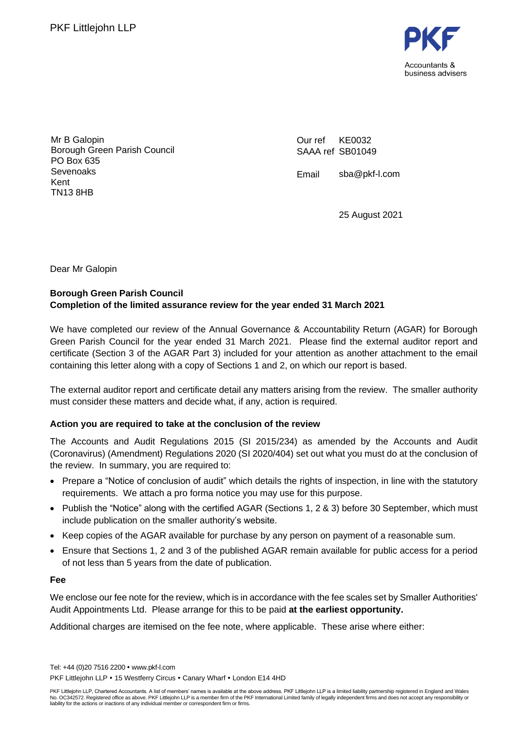

Mr B Galopin Borough Green Parish Council PO Box 635 Sevenoaks Kent TN13 8HB

Our ref SAAA ref SB01049 KE0032

Email sba@pkf-l.com

25 August 2021

Dear Mr Galopin

## **Borough Green Parish Council Completion of the limited assurance review for the year ended 31 March 2021**

We have completed our review of the Annual Governance & Accountability Return (AGAR) for Borough Green Parish Council for the year ended 31 March 2021. Please find the external auditor report and certificate (Section 3 of the AGAR Part 3) included for your attention as another attachment to the email containing this letter along with a copy of Sections 1 and 2, on which our report is based.

The external auditor report and certificate detail any matters arising from the review. The smaller authority must consider these matters and decide what, if any, action is required.

## **Action you are required to take at the conclusion of the review**

The Accounts and Audit Regulations 2015 (SI 2015/234) as amended by the Accounts and Audit (Coronavirus) (Amendment) Regulations 2020 (SI 2020/404) set out what you must do at the conclusion of the review. In summary, you are required to:

- Prepare a "Notice of conclusion of audit" which details the rights of inspection, in line with the statutory requirements. We attach a pro forma notice you may use for this purpose.
- Publish the "Notice" along with the certified AGAR (Sections 1, 2 & 3) before 30 September, which must include publication on the smaller authority's website.
- Keep copies of the AGAR available for purchase by any person on payment of a reasonable sum.
- Ensure that Sections 1, 2 and 3 of the published AGAR remain available for public access for a period of not less than 5 years from the date of publication.

**Fee**

We enclose our fee note for the review, which is in accordance with the fee scales set by Smaller Authorities' Audit Appointments Ltd. Please arrange for this to be paid **at the earliest opportunity.**

Additional charges are itemised on the fee note, where applicable. These arise where either:

Tel: +44 (0)20 7516 2200 www.pkf-l.com PKF Littleiohn LLP • 15 Westferry Circus • Canary Wharf • London E14 4HD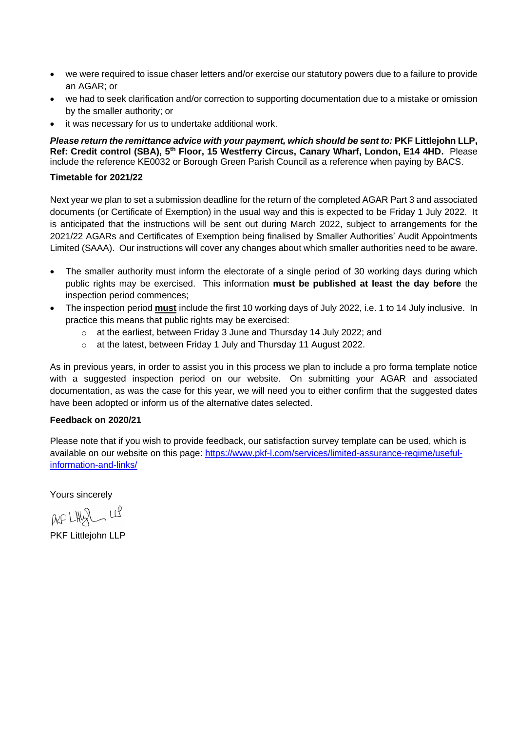- we were required to issue chaser letters and/or exercise our statutory powers due to a failure to provide an AGAR; or
- we had to seek clarification and/or correction to supporting documentation due to a mistake or omission by the smaller authority; or
- it was necessary for us to undertake additional work.

*Please return the remittance advice with your payment, which should be sent to:* **PKF Littlejohn LLP,**  Ref: Credit control (SBA), 5<sup>th</sup> Floor, 15 Westferry Circus, Canary Wharf, London, E14 4HD. Please include the reference KE0032 or Borough Green Parish Council as a reference when paying by BACS.

### **Timetable for 2021/22**

Next year we plan to set a submission deadline for the return of the completed AGAR Part 3 and associated documents (or Certificate of Exemption) in the usual way and this is expected to be Friday 1 July 2022. It is anticipated that the instructions will be sent out during March 2022, subject to arrangements for the 2021/22 AGARs and Certificates of Exemption being finalised by Smaller Authorities' Audit Appointments Limited (SAAA). Our instructions will cover any changes about which smaller authorities need to be aware.

- The smaller authority must inform the electorate of a single period of 30 working days during which public rights may be exercised. This information **must be published at least the day before** the inspection period commences;
- The inspection period **must** include the first 10 working days of July 2022, i.e. 1 to 14 July inclusive. In practice this means that public rights may be exercised:
	- o at the earliest, between Friday 3 June and Thursday 14 July 2022; and
	- o at the latest, between Friday 1 July and Thursday 11 August 2022.

As in previous years, in order to assist you in this process we plan to include a pro forma template notice with a suggested inspection period on our website. On submitting your AGAR and associated documentation, as was the case for this year, we will need you to either confirm that the suggested dates have been adopted or inform us of the alternative dates selected.

### **Feedback on 2020/21**

Please note that if you wish to provide feedback, our satisfaction survey template can be used, which is available on our website on this page: [https://www.pkf-l.com/services/limited-assurance-regime/useful](https://www.pkf-l.com/services/limited-assurance-regime/useful-information-and-links/)[information-and-links/](https://www.pkf-l.com/services/limited-assurance-regime/useful-information-and-links/)

Yours sincerely

 $AFLHQLHQ$ 

PKF Littlejohn LLP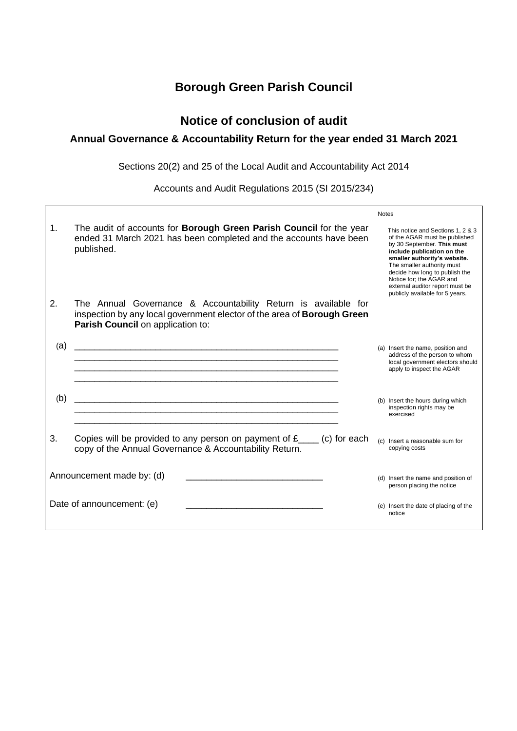## **Borough Green Parish Council**

## **Notice of conclusion of audit**

## **Annual Governance & Accountability Return for the year ended 31 March 2021**

Sections 20(2) and 25 of the Local Audit and Accountability Act 2014

Accounts and Audit Regulations 2015 (SI 2015/234)

|                           |                                                                                                                                                                                       | <b>Notes</b> |                                                                                                                                                                                                                                                                                                                                  |
|---------------------------|---------------------------------------------------------------------------------------------------------------------------------------------------------------------------------------|--------------|----------------------------------------------------------------------------------------------------------------------------------------------------------------------------------------------------------------------------------------------------------------------------------------------------------------------------------|
| 1.                        | The audit of accounts for <b>Borough Green Parish Council</b> for the year<br>ended 31 March 2021 has been completed and the accounts have been<br>published.                         |              | This notice and Sections 1, 2 & 3<br>of the AGAR must be published<br>by 30 September. This must<br>include publication on the<br>smaller authority's website.<br>The smaller authority must<br>decide how long to publish the<br>Notice for; the AGAR and<br>external auditor report must be<br>publicly available for 5 years. |
| 2 <sub>1</sub>            | The Annual Governance & Accountability Return is available for<br>inspection by any local government elector of the area of <b>Borough Green</b><br>Parish Council on application to: |              |                                                                                                                                                                                                                                                                                                                                  |
| (a)                       | <u> 1989 - Johann John Stoff, deutscher Stoffen und der Stoffen und der Stoffen und der Stoffen und der Stoffen</u>                                                                   |              | (a) Insert the name, position and<br>address of the person to whom<br>local government electors should<br>apply to inspect the AGAR                                                                                                                                                                                              |
| (b)                       |                                                                                                                                                                                       |              | (b) Insert the hours during which<br>inspection rights may be<br>exercised                                                                                                                                                                                                                                                       |
| 3.                        | Copies will be provided to any person on payment of $f_{\text{max}}$ (c) for each<br>copy of the Annual Governance & Accountability Return.                                           |              | (c) Insert a reasonable sum for<br>copying costs                                                                                                                                                                                                                                                                                 |
| Announcement made by: (d) |                                                                                                                                                                                       |              | (d) Insert the name and position of<br>person placing the notice                                                                                                                                                                                                                                                                 |
|                           | Date of announcement: (e)                                                                                                                                                             |              | (e) Insert the date of placing of the<br>notice                                                                                                                                                                                                                                                                                  |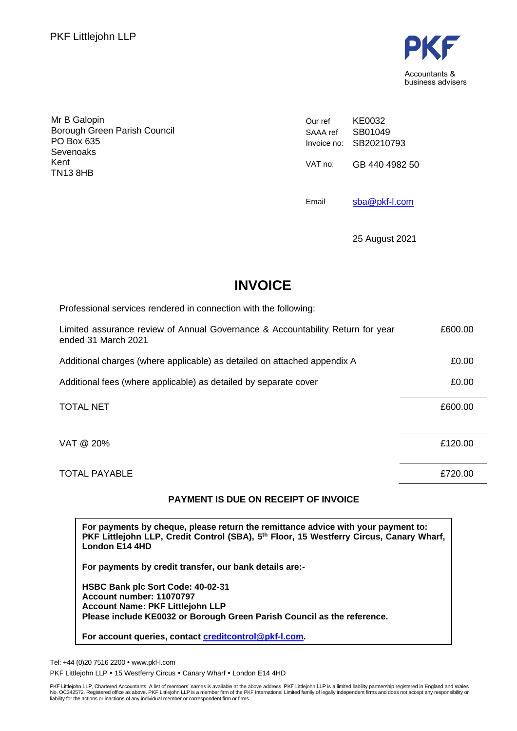

Mr B Galopin Borough Green Parish Council PO Box 635 Sevenoaks Kent TN13 8HB

Our ref SAAA ref Invoice no: SB20210793 KE0032 SB01049 VAT no: GB 440 4982 50

Email [sba@pkf-l.com](mailto:sba@pkf-l.com)

25 August 2021

# **INVOICE**

| Professional services rendered in connection with the following:                                      |         |
|-------------------------------------------------------------------------------------------------------|---------|
| Limited assurance review of Annual Governance & Accountability Return for year<br>ended 31 March 2021 | £600.00 |
| Additional charges (where applicable) as detailed on attached appendix A                              | £0.00   |
| Additional fees (where applicable) as detailed by separate cover                                      | £0.00   |
| <b>TOTAL NET</b>                                                                                      | £600.00 |
| VAT @ 20%                                                                                             | £120.00 |
| <b>TOTAL PAYABLE</b>                                                                                  | £720.00 |

## **PAYMENT IS DUE ON RECEIPT OF INVOICE**

**For payments by cheque, please return the remittance advice with your payment to: PKF Littlejohn LLP, Credit Control (SBA), 5 th Floor, 15 Westferry Circus, Canary Wharf, London E14 4HD**

**For payments by credit transfer, our bank details are:-**

**HSBC Bank plc Sort Code: 40-02-31 Account number: 11070797 Account Name: PKF Littlejohn LLP Please include KE0032 or Borough Green Parish Council as the reference.**

**For account queries, contact [creditcontrol@pkf-l.com.](mailto:creditcontrol@pkf-l.com)**

Tel: +44 (0)20 7516 2200 www.pkf-l.com PKF Littlejohn LLP . 15 Westferry Circus . Canary Wharf . London E14 4HD

PKF Littlejohn LLP, Chartered Accountants. A list of members' names is available at the above address. PKF Littlejohn LLP is a limited liability partnership registered in England and Wales<br>No. OC342572. Registered office a liability for the actions or inactions of any individual member or correspondent firm or firms.